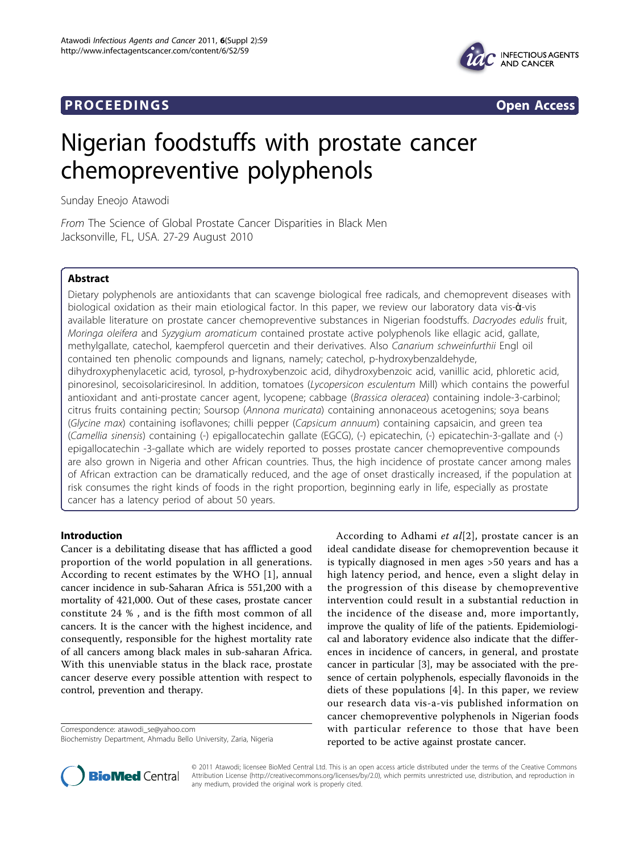## **PROCEEDINGS CONSIDERING S** Open Access



# Nigerian foodstuffs with prostate cancer chemopreventive polyphenols

Sunday Eneojo Atawodi

From The Science of Global Prostate Cancer Disparities in Black Men Jacksonville, FL, USA. 27-29 August 2010

## Abstract

Dietary polyphenols are antioxidants that can scavenge biological free radicals, and chemoprevent diseases with biological oxidation as their main etiological factor. In this paper, we review our laboratory data vis-à-vis available literature on prostate cancer chemopreventive substances in Nigerian foodstuffs. Dacryodes edulis fruit, Moringa oleifera and Syzygium aromaticum contained prostate active polyphenols like ellagic acid, gallate, methylgallate, catechol, kaempferol quercetin and their derivatives. Also Canarium schweinfurthii Engl oil contained ten phenolic compounds and lignans, namely; catechol, p-hydroxybenzaldehyde, dihydroxyphenylacetic acid, tyrosol, p-hydroxybenzoic acid, dihydroxybenzoic acid, vanillic acid, phloretic acid, pinoresinol, secoisolariciresinol. In addition, tomatoes (Lycopersicon esculentum Mill) which contains the powerful antioxidant and anti-prostate cancer agent, lycopene; cabbage (Brassica oleracea) containing indole-3-carbinol; citrus fruits containing pectin; Soursop (Annona muricata) containing annonaceous acetogenins; soya beans (Glycine max) containing isoflavones; chilli pepper (Capsicum annuum) containing capsaicin, and green tea (Camellia sinensis) containing (-) epigallocatechin gallate (EGCG), (-) epicatechin, (-) epicatechin-3-gallate and (-) epigallocatechin -3-gallate which are widely reported to posses prostate cancer chemopreventive compounds are also grown in Nigeria and other African countries. Thus, the high incidence of prostate cancer among males of African extraction can be dramatically reduced, and the age of onset drastically increased, if the population at risk consumes the right kinds of foods in the right proportion, beginning early in life, especially as prostate cancer has a latency period of about 50 years.

## Introduction

Cancer is a debilitating disease that has afflicted a good proportion of the world population in all generations. According to recent estimates by the WHO [[1\]](#page-3-0), annual cancer incidence in sub-Saharan Africa is 551,200 with a mortality of 421,000. Out of these cases, prostate cancer constitute 24 % , and is the fifth most common of all cancers. It is the cancer with the highest incidence, and consequently, responsible for the highest mortality rate of all cancers among black males in sub-saharan Africa. With this unenviable status in the black race, prostate cancer deserve every possible attention with respect to control, prevention and therapy.

Correspondence: [atawodi\\_se@yahoo.com](mailto:atawodi_se@yahoo.com)

According to Adhami et  $al[2]$  $al[2]$ , prostate cancer is an ideal candidate disease for chemoprevention because it is typically diagnosed in men ages >50 years and has a high latency period, and hence, even a slight delay in the progression of this disease by chemopreventive intervention could result in a substantial reduction in the incidence of the disease and, more importantly, improve the quality of life of the patients. Epidemiological and laboratory evidence also indicate that the differences in incidence of cancers, in general, and prostate cancer in particular [\[3](#page-3-0)], may be associated with the presence of certain polyphenols, especially flavonoids in the diets of these populations [\[4\]](#page-3-0). In this paper, we review our research data vis-a-vis published information on cancer chemopreventive polyphenols in Nigerian foods with particular reference to those that have been reported to be active against prostate cancer.



© 2011 Atawodi; licensee BioMed Central Ltd. This is an open access article distributed under the terms of the Creative Commons Attribution License [\(http://creativecommons.org/licenses/by/2.0](http://creativecommons.org/licenses/by/2.0)), which permits unrestricted use, distribution, and reproduction in any medium, provided the original work is properly cited.

Biochemistry Department, Ahmadu Bello University, Zaria, Nigeria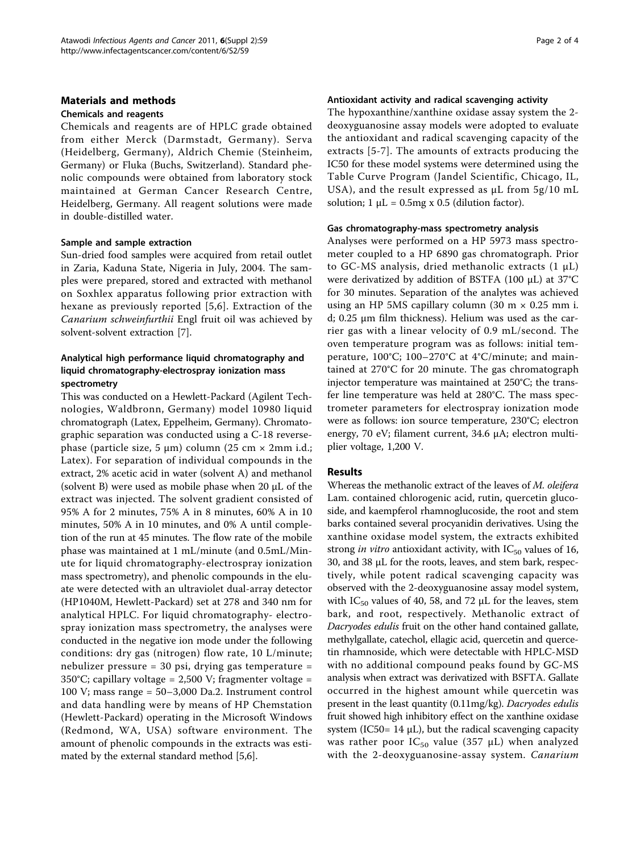#### Materials and methods

## Chemicals and reagents

Chemicals and reagents are of HPLC grade obtained from either Merck (Darmstadt, Germany). Serva (Heidelberg, Germany), Aldrich Chemie (Steinheim, Germany) or Fluka (Buchs, Switzerland). Standard phenolic compounds were obtained from laboratory stock maintained at German Cancer Research Centre, Heidelberg, Germany. All reagent solutions were made in double-distilled water.

#### Sample and sample extraction

Sun-dried food samples were acquired from retail outlet in Zaria, Kaduna State, Nigeria in July, 2004. The samples were prepared, stored and extracted with methanol on Soxhlex apparatus following prior extraction with hexane as previously reported [[5,6](#page-3-0)]. Extraction of the Canarium schweinfurthii Engl fruit oil was achieved by solvent-solvent extraction [\[7](#page-3-0)].

## Analytical high performance liquid chromatography and liquid chromatography-electrospray ionization mass spectrometry

This was conducted on a Hewlett-Packard (Agilent Technologies, Waldbronn, Germany) model 10980 liquid chromatograph (Latex, Eppelheim, Germany). Chromatographic separation was conducted using a C-18 reversephase (particle size, 5  $\mu$ m) column (25 cm × 2mm i.d.; Latex). For separation of individual compounds in the extract, 2% acetic acid in water (solvent A) and methanol (solvent B) were used as mobile phase when 20  $\mu$ L of the extract was injected. The solvent gradient consisted of 95% A for 2 minutes, 75% A in 8 minutes, 60% A in 10 minutes, 50% A in 10 minutes, and 0% A until completion of the run at 45 minutes. The flow rate of the mobile phase was maintained at 1 mL/minute (and 0.5mL/Minute for liquid chromatography-electrospray ionization mass spectrometry), and phenolic compounds in the eluate were detected with an ultraviolet dual-array detector (HP1040M, Hewlett-Packard) set at 278 and 340 nm for analytical HPLC. For liquid chromatography- electrospray ionization mass spectrometry, the analyses were conducted in the negative ion mode under the following conditions: dry gas (nitrogen) flow rate, 10 L/minute; nebulizer pressure = 30 psi, drying gas temperature = 350°C; capillary voltage = 2,500 V; fragmenter voltage = 100 V; mass range = 50–3,000 Da.2. Instrument control and data handling were by means of HP Chemstation (Hewlett-Packard) operating in the Microsoft Windows (Redmond, WA, USA) software environment. The amount of phenolic compounds in the extracts was estimated by the external standard method [[5,6\]](#page-3-0).

#### Antioxidant activity and radical scavenging activity

The hypoxanthine/xanthine oxidase assay system the 2 deoxyguanosine assay models were adopted to evaluate the antioxidant and radical scavenging capacity of the extracts [\[5-7\]](#page-3-0). The amounts of extracts producing the IC50 for these model systems were determined using the Table Curve Program (Jandel Scientific, Chicago, IL, USA), and the result expressed as  $\mu$ L from 5g/10 mL solution;  $1 \mu L = 0.5$ mg x 0.5 (dilution factor).

## Gas chromatography-mass spectrometry analysis

Analyses were performed on a HP 5973 mass spectrometer coupled to a HP 6890 gas chromatograph. Prior to GC-MS analysis, dried methanolic extracts  $(1 \mu L)$ were derivatized by addition of BSTFA (100 µL) at 37°C for 30 minutes. Separation of the analytes was achieved using an HP 5MS capillary column (30 m  $\times$  0.25 mm i. d; 0.25 μm film thickness). Helium was used as the carrier gas with a linear velocity of 0.9 mL/second. The oven temperature program was as follows: initial temperature, 100°C; 100–270°C at 4°C/minute; and maintained at 270°C for 20 minute. The gas chromatograph injector temperature was maintained at 250°C; the transfer line temperature was held at 280°C. The mass spectrometer parameters for electrospray ionization mode were as follows: ion source temperature, 230°C; electron energy, 70 eV; filament current, 34.6 µA; electron multiplier voltage, 1,200 V.

## Results

Whereas the methanolic extract of the leaves of *M. oleifera* Lam. contained chlorogenic acid, rutin, quercetin glucoside, and kaempferol rhamnoglucoside, the root and stem barks contained several procyanidin derivatives. Using the xanthine oxidase model system, the extracts exhibited strong in vitro antioxidant activity, with  $IC_{50}$  values of 16, 30, and 38 µL for the roots, leaves, and stem bark, respectively, while potent radical scavenging capacity was observed with the 2-deoxyguanosine assay model system, with  $IC_{50}$  values of 40, 58, and 72 µL for the leaves, stem bark, and root, respectively. Methanolic extract of Dacryodes edulis fruit on the other hand contained gallate, methylgallate, catechol, ellagic acid, quercetin and quercetin rhamnoside, which were detectable with HPLC-MSD with no additional compound peaks found by GC-MS analysis when extract was derivatized with BSFTA. Gallate occurred in the highest amount while quercetin was present in the least quantity (0.11mg/kg). Dacryodes edulis fruit showed high inhibitory effect on the xanthine oxidase system (IC50=  $14 \mu L$ ), but the radical scavenging capacity was rather poor  $IC_{50}$  value (357 µL) when analyzed with the 2-deoxyguanosine-assay system. Canarium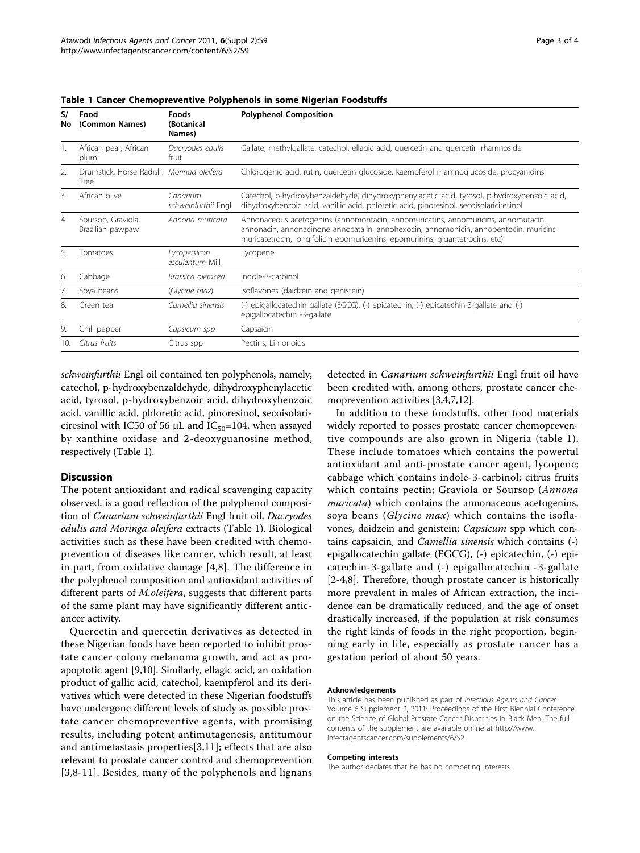| S/<br>Νo | Food<br>(Common Names)                           | Foods<br>(Botanical<br>Names)   | <b>Polyphenol Composition</b>                                                                                                                                                                                                                               |
|----------|--------------------------------------------------|---------------------------------|-------------------------------------------------------------------------------------------------------------------------------------------------------------------------------------------------------------------------------------------------------------|
|          | African pear, African<br>plum                    | Dacryodes edulis<br>fruit       | Gallate, methylgallate, catechol, ellagic acid, quercetin and quercetin rhamnoside                                                                                                                                                                          |
| 2.       | Drumstick, Horse Radish Moringa oleifera<br>Tree |                                 | Chlorogenic acid, rutin, quercetin glucoside, kaempferol rhamnoglucoside, procyanidins                                                                                                                                                                      |
| 3.       | African olive                                    | Canarium<br>schweinfurthii Engl | Catechol, p-hydroxybenzaldehyde, dihydroxyphenylacetic acid, tyrosol, p-hydroxybenzoic acid,<br>dihydroxybenzoic acid, vanillic acid, phloretic acid, pinoresinol, secoisolariciresinol                                                                     |
| 4.       | Soursop, Graviola,<br>Brazilian pawpaw           | Annona muricata                 | Annonaceous acetogenins (annomontacin, annomuricatins, annomuricins, annomutacin,<br>annonacin, annonacinone annocatalin, annohexocin, annomonicin, annopentocin, muricins<br>muricatetrocin, longifolicin epomuricenins, epomurinins, gigantetrocins, etc) |
| 5.       | Tomatoes                                         | Lycopersicon<br>esculentum Mill | Lycopene                                                                                                                                                                                                                                                    |
| 6.       | Cabbage                                          | Brassica oleracea               | Indole-3-carbinol                                                                                                                                                                                                                                           |
| 7.       | Soya beans                                       | (Glycine max)                   | Isoflavones (daidzein and genistein)                                                                                                                                                                                                                        |
| 8.       | Green tea                                        | Camellia sinensis               | (-) epigallocatechin gallate (EGCG), (-) epicatechin, (-) epicatechin-3-gallate and (-)<br>epigallocatechin -3-gallate                                                                                                                                      |
| 9.       | Chili pepper                                     | Capsicum spp                    | Capsaicin                                                                                                                                                                                                                                                   |
| 10.      | Citrus fruits                                    | Citrus spp                      | Pectins, Limonoids                                                                                                                                                                                                                                          |

Table 1 Cancer Chemopreventive Polyphenols in some Nigerian Foodstuffs

schweinfurthii Engl oil contained ten polyphenols, namely; catechol, p-hydroxybenzaldehyde, dihydroxyphenylacetic acid, tyrosol, p-hydroxybenzoic acid, dihydroxybenzoic acid, vanillic acid, phloretic acid, pinoresinol, secoisolariciresinol with IC50 of 56  $\mu$ L and IC<sub>50</sub>=104, when assayed by xanthine oxidase and 2-deoxyguanosine method, respectively (Table 1).

## **Discussion**

The potent antioxidant and radical scavenging capacity observed, is a good reflection of the polyphenol composition of Canarium schweinfurthii Engl fruit oil, Dacryodes edulis and Moringa oleifera extracts (Table 1). Biological activities such as these have been credited with chemoprevention of diseases like cancer, which result, at least in part, from oxidative damage [\[4,8](#page-3-0)]. The difference in the polyphenol composition and antioxidant activities of different parts of *M.oleifera*, suggests that different parts of the same plant may have significantly different anticancer activity.

Quercetin and quercetin derivatives as detected in these Nigerian foods have been reported to inhibit prostate cancer colony melanoma growth, and act as proapoptotic agent [\[9,10](#page-3-0)]. Similarly, ellagic acid, an oxidation product of gallic acid, catechol, kaempferol and its derivatives which were detected in these Nigerian foodstuffs have undergone different levels of study as possible prostate cancer chemopreventive agents, with promising results, including potent antimutagenesis, antitumour and antimetastasis properties[[3,11\]](#page-3-0); effects that are also relevant to prostate cancer control and chemoprevention [[3](#page-3-0),[8-11\]](#page-3-0). Besides, many of the polyphenols and lignans

detected in Canarium schweinfurthii Engl fruit oil have been credited with, among others, prostate cancer chemoprevention activities [\[3,4](#page-3-0),[7](#page-3-0),[12](#page-3-0)].

In addition to these foodstuffs, other food materials widely reported to posses prostate cancer chemopreventive compounds are also grown in Nigeria (table 1). These include tomatoes which contains the powerful antioxidant and anti-prostate cancer agent, lycopene; cabbage which contains indole-3-carbinol; citrus fruits which contains pectin; Graviola or Soursop (Annona muricata) which contains the annonaceous acetogenins, soya beans (*Glycine max*) which contains the isoflavones, daidzein and genistein; Capsicum spp which contains capsaicin, and Camellia sinensis which contains (-) epigallocatechin gallate (EGCG), (-) epicatechin, (-) epicatechin-3-gallate and (-) epigallocatechin -3-gallate [[2-4,8\]](#page-3-0). Therefore, though prostate cancer is historically more prevalent in males of African extraction, the incidence can be dramatically reduced, and the age of onset drastically increased, if the population at risk consumes the right kinds of foods in the right proportion, beginning early in life, especially as prostate cancer has a gestation period of about 50 years.

#### Acknowledgements

This article has been published as part of Infectious Agents and Cancer Volume 6 Supplement 2, 2011: Proceedings of the First Biennial Conference on the Science of Global Prostate Cancer Disparities in Black Men. The full contents of the supplement are available online at [http://www.](http://www.infectagentscancer.com/supplements/6/S2) [infectagentscancer.com/supplements/6/S2](http://www.infectagentscancer.com/supplements/6/S2).

#### Competing interests

The author declares that he has no competing interests.